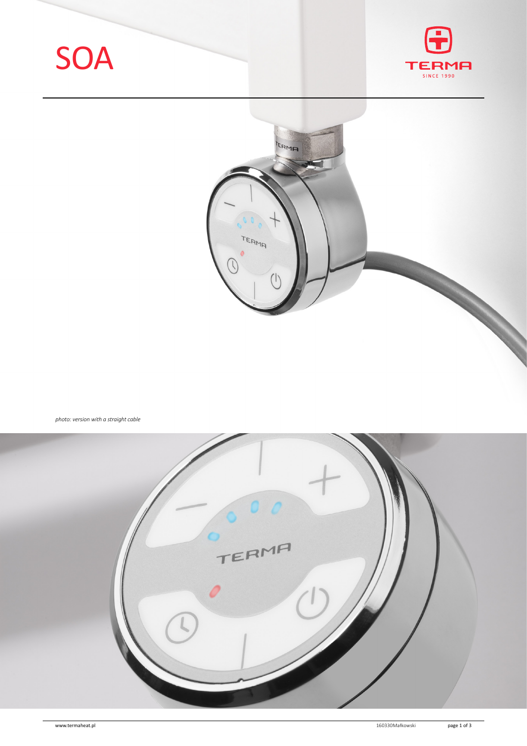





*photo: version with a straight cable*

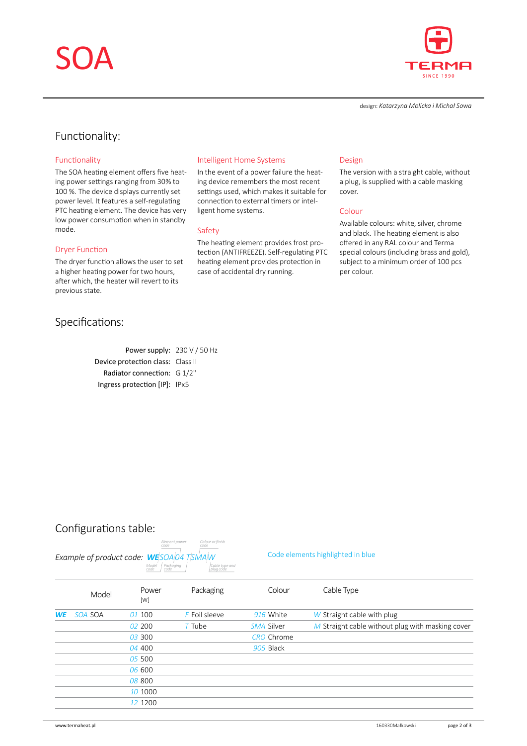# SOA



design: *Katarzyna Molicka i Michał Sowa*

## Functionality:

### Functionality

The SOA heating element offers five heating power settings ranging from 30% to 100 %. The device displays currently set power level. It features a self-regulating PTC heating element. The device has very low power consumption when in standby mode.

#### Dryer Function

The dryer function allows the user to set a higher heating power for two hours, after which, the heater will revert to its previous state.

### Specifications:

Power supply: 230 V / 50 Hz Device protection class: Class II Radiator connection: G 1/2" Ingress protection [IP]: IPx5

#### Intelligent Home Systems

In the event of a power failure the heating device remembers the most recent settings used, which makes it suitable for connection to external timers or intelligent home systems.

#### Safety

The heating element provides frost protection (ANTIFREEZE). Self-regulating PTC heating element provides protection in case of accidental dry running.

#### Design

The version with a straight cable, without a plug, is supplied with a cable masking cover.

#### Colour

Available colours: white, silver, chrome and black. The heating element is also offered in any RAL colour and Terma special colours (including brass and gold), subject to a minimum order of 100 pcs per colour.

## Configurations table:

#### *Example of product code: WE<sup><i>SOAo4 TSMAM* Code elements highlighted in blue</sup> *Model code Packaging code Element power code Colour or finish code*

*Cable type and plug code*

|           | Model   | Power<br>[W] | Packaging     | Colour            | Cable Type                                         |
|-----------|---------|--------------|---------------|-------------------|----------------------------------------------------|
| <b>WE</b> | SOA SOA | 01 100       | F Foil sleeve | 916 White         | $W$ Straight cable with plug                       |
|           |         | 02,200       | $T$ Tube      | SMA Silver        | $M$ Straight cable without plug with masking cover |
|           |         | 03 300       |               | <b>CRO</b> Chrome |                                                    |
|           |         | 04 400       |               | 905 Black         |                                                    |
|           |         | 05 500       |               |                   |                                                    |
|           |         | 06 600       |               |                   |                                                    |
|           |         | 08 800       |               |                   |                                                    |
|           |         | 10 1000      |               |                   |                                                    |
|           |         | 12 1200      |               |                   |                                                    |